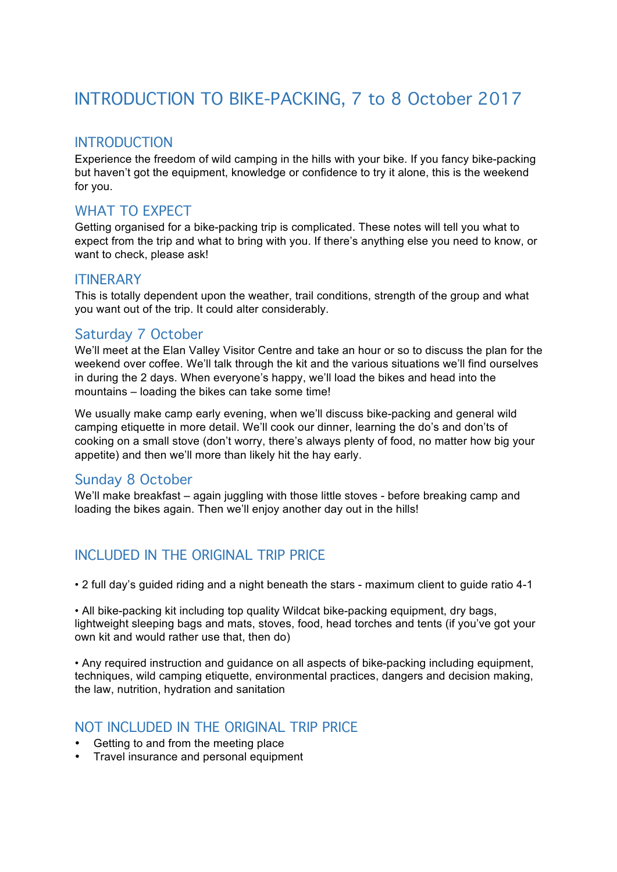# INTRODUCTION TO BIKE-PACKING, 7 to 8 October 2017

## INTRODUCTION

Experience the freedom of wild camping in the hills with your bike. If you fancy bike-packing but haven't got the equipment, knowledge or confidence to try it alone, this is the weekend for you.

# WHAT TO EXPECT

Getting organised for a bike-packing trip is complicated. These notes will tell you what to expect from the trip and what to bring with you. If there's anything else you need to know, or want to check, please ask!

#### **ITINFRARY**

This is totally dependent upon the weather, trail conditions, strength of the group and what you want out of the trip. It could alter considerably.

# Saturday 7 October

We'll meet at the Elan Valley Visitor Centre and take an hour or so to discuss the plan for the weekend over coffee. We'll talk through the kit and the various situations we'll find ourselves in during the 2 days. When everyone's happy, we'll load the bikes and head into the mountains – loading the bikes can take some time!

We usually make camp early evening, when we'll discuss bike-packing and general wild camping etiquette in more detail. We'll cook our dinner, learning the do's and don'ts of cooking on a small stove (don't worry, there's always plenty of food, no matter how big your appetite) and then we'll more than likely hit the hay early.

# Sunday 8 October

We'll make breakfast – again juggling with those little stoves - before breaking camp and loading the bikes again. Then we'll enjoy another day out in the hills!

# INCLUDED IN THE ORIGINAL TRIP PRICE

• 2 full day's guided riding and a night beneath the stars - maximum client to guide ratio 4-1

• All bike-packing kit including top quality Wildcat bike-packing equipment, dry bags, lightweight sleeping bags and mats, stoves, food, head torches and tents (if you've got your own kit and would rather use that, then do)

• Any required instruction and guidance on all aspects of bike-packing including equipment, techniques, wild camping etiquette, environmental practices, dangers and decision making, the law, nutrition, hydration and sanitation

#### NOT INCLUDED IN THE ORIGINAL TRIP PRICE

- Getting to and from the meeting place
- Travel insurance and personal equipment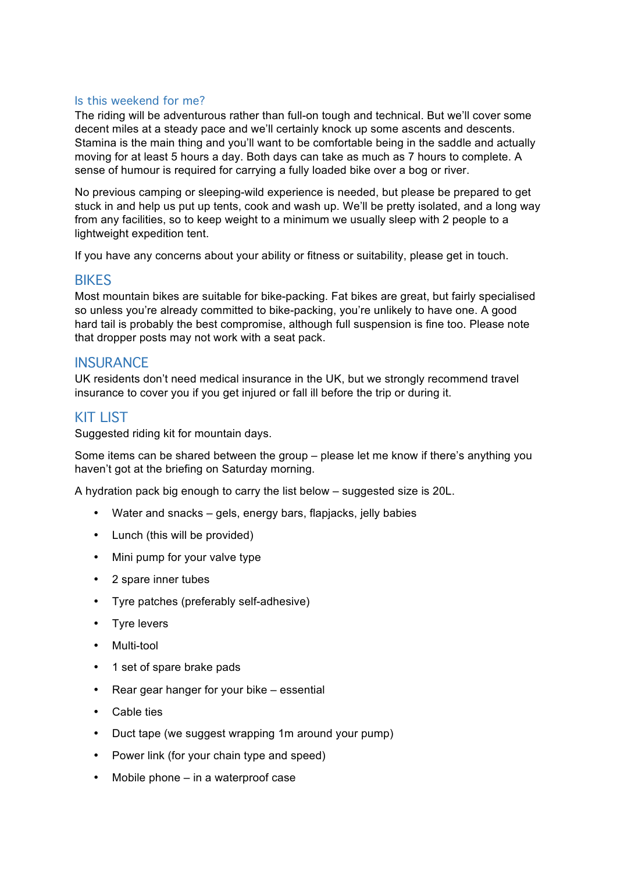#### Is this weekend for me?

The riding will be adventurous rather than full-on tough and technical. But we'll cover some decent miles at a steady pace and we'll certainly knock up some ascents and descents. Stamina is the main thing and you'll want to be comfortable being in the saddle and actually moving for at least 5 hours a day. Both days can take as much as 7 hours to complete. A sense of humour is required for carrying a fully loaded bike over a bog or river.

No previous camping or sleeping-wild experience is needed, but please be prepared to get stuck in and help us put up tents, cook and wash up. We'll be pretty isolated, and a long way from any facilities, so to keep weight to a minimum we usually sleep with 2 people to a lightweight expedition tent.

If you have any concerns about your ability or fitness or suitability, please get in touch.

#### **BIKES**

Most mountain bikes are suitable for bike-packing. Fat bikes are great, but fairly specialised so unless you're already committed to bike-packing, you're unlikely to have one. A good hard tail is probably the best compromise, although full suspension is fine too. Please note that dropper posts may not work with a seat pack.

#### **INSURANCE**

UK residents don't need medical insurance in the UK, but we strongly recommend travel insurance to cover you if you get injured or fall ill before the trip or during it.

#### KIT LIST

Suggested riding kit for mountain days.

Some items can be shared between the group – please let me know if there's anything you haven't got at the briefing on Saturday morning.

A hydration pack big enough to carry the list below – suggested size is 20L.

- Water and snacks gels, energy bars, flapjacks, jelly babies
- Lunch (this will be provided)
- Mini pump for your valve type
- 2 spare inner tubes
- Tyre patches (preferably self-adhesive)
- Tyre levers
- Multi-tool
- 1 set of spare brake pads
- Rear gear hanger for your bike essential
- Cable ties
- Duct tape (we suggest wrapping 1m around your pump)
- Power link (for your chain type and speed)
- Mobile phone in a waterproof case